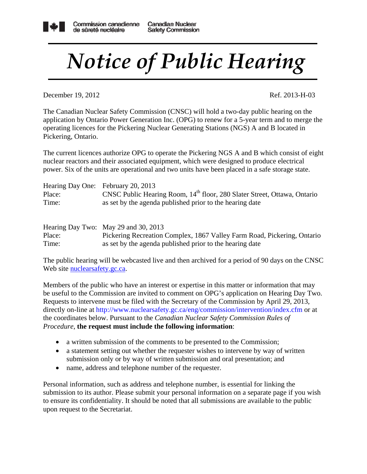## *Notice of Public Hearing*

December 19, 2012 Ref. 2013-H-03

The Canadian Nuclear Safety Commission (CNSC) will hold a two-day public hearing on the application by Ontario Power Generation Inc. (OPG) to renew for a 5-year term and to merge the operating licences for the Pickering Nuclear Generating Stations (NGS) A and B located in Pickering, Ontario.

The current licences authorize OPG to operate the Pickering NGS A and B which consist of eight nuclear reactors and their associated equipment, which were designed to produce electrical power. Six of the units are operational and two units have been placed in a safe storage state.

| Hearing Day One: February 20, 2013 |                                                                                      |
|------------------------------------|--------------------------------------------------------------------------------------|
| Place:                             | CNSC Public Hearing Room, 14 <sup>th</sup> floor, 280 Slater Street, Ottawa, Ontario |
| Time:                              | as set by the agenda published prior to the hearing date                             |

|        | Hearing Day Two: May 29 and 30, 2013                                    |
|--------|-------------------------------------------------------------------------|
| Place: | Pickering Recreation Complex, 1867 Valley Farm Road, Pickering, Ontario |
| Time:  | as set by the agenda published prior to the hearing date                |

The public hearing will be webcasted live and then archived for a period of 90 days on the CNSC Web site nuclears afety.gc.ca.

Members of the public who have an interest or expertise in this matter or information that may be useful to the Commission are invited to comment on OPG's application on Hearing Day Two. Requests to intervene must be filed with the Secretary of the Commission by April 29, 2013, directly on-line at http://www.nuclearsafety.gc.ca/eng/commission/intervention/index.cfm or at the coordinates below. Pursuant to the *Canadian Nuclear Safety Commission Rules of Procedure*, **the request must include the following information**:

- a written submission of the comments to be presented to the Commission;
- a statement setting out whether the requester wishes to intervene by way of written submission only or by way of written submission and oral presentation; and
- name, address and telephone number of the requester.

Personal information, such as address and telephone number, is essential for linking the submission to its author. Please submit your personal information on a separate page if you wish to ensure its confidentiality. It should be noted that all submissions are available to the public upon request to the Secretariat.